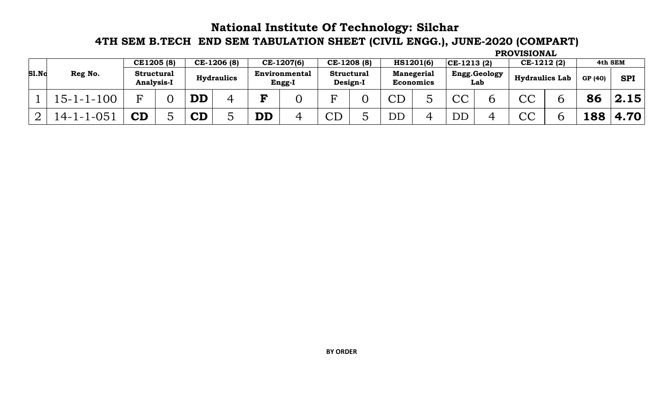## **National Institute Of Technology: Silchar 4TH SEM B.TECH END SEM TABULATION SHEET (CIVIL ENGG.), JUNE-2020 (COMPART)**

| <b>S1.No</b> |                         | CE1205 (8)                             |  |                      | CE-1206 (8)       |                        | CE-1207(6)                     | CE-1208 (8)                   |                 | HS1201(6)                             | $ CE-1213(2) $ |                     | CE-1212(2)               |  | 4th SEM |            |
|--------------|-------------------------|----------------------------------------|--|----------------------|-------------------|------------------------|--------------------------------|-------------------------------|-----------------|---------------------------------------|----------------|---------------------|--------------------------|--|---------|------------|
|              | Reg No.                 | <b>Structural</b><br><b>Analysis-I</b> |  |                      | <b>Hydraulics</b> |                        | <b>Environmental</b><br>Engg-I | <b>Structural</b><br>Design-I |                 | <b>Manegerial</b><br><b>Economics</b> |                | Engg.Geology<br>Lab | <b>Hydraulics Lab</b>    |  | GP (40) | <b>SPI</b> |
|              | $15 - 1 - 1 - 100$      |                                        |  | DD                   |                   | D                      |                                |                               | $\cap$ $\Gamma$ |                                       | $\cap$<br>しし   | O                   | $\curvearrowright$<br>しし |  | 86      | 2.15       |
|              | $1 - 05$<br>$4 - 1 - 1$ | $\mathbf C \mathbf D$                  |  | $\mathbf C\mathbf D$ |                   | $\mathbf{D}\mathbf{D}$ |                                | $\cap$ $\Gamma$               | DD              |                                       | DD             |                     | $\cap$<br>しし             |  | 188     | 4.70       |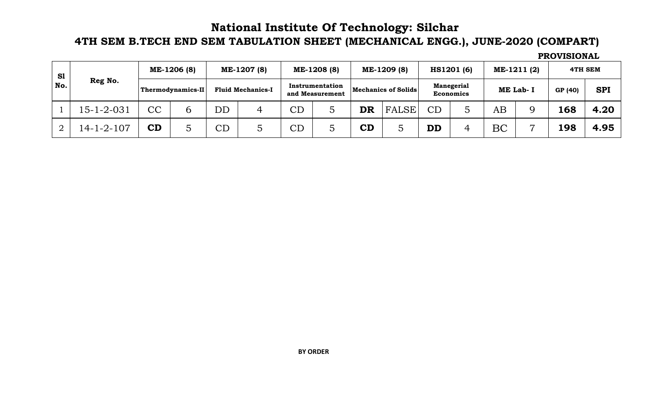## **National Institute Of Technology: Silchar**

## **4TH SEM B.TECH END SEM TABULATION SHEET (MECHANICAL ENGG.), JUNE-2020 (COMPART)**

| S1<br>No. | Reg No.            |    | ME-1206 (8)              |                          | ME-1207 (8) |                                    | ME-1208 (8)<br>ME-1209 (8) |                     |       |                                       | HS1201 (6) |          | ME-1211 (2)    | 4TH SEM |            |
|-----------|--------------------|----|--------------------------|--------------------------|-------------|------------------------------------|----------------------------|---------------------|-------|---------------------------------------|------------|----------|----------------|---------|------------|
|           |                    |    | <b>Thermodynamics-II</b> | <b>Fluid Mechanics-I</b> |             | Instrumentation<br>and Measurement |                            | Mechanics of Solids |       | <b>Manegerial</b><br><b>Economics</b> |            | ME Lab-I |                | GP (40) | <b>SPI</b> |
|           | $15 - 1 - 2 - 031$ | CC | O.                       | $\overline{\mathrm{DD}}$ | 4           | $\overline{\mathrm{CD}}$           |                            | DR                  | FALSE | CD                                    |            | ΑB       |                | 168     | 4.20       |
|           | 14-1-2-107         | CD |                          | CD                       |             | $\overline{\mathrm{CD}}$           |                            | CD                  |       | <b>DD</b>                             |            | BC       | $\overline{ }$ | 198     | 4.95       |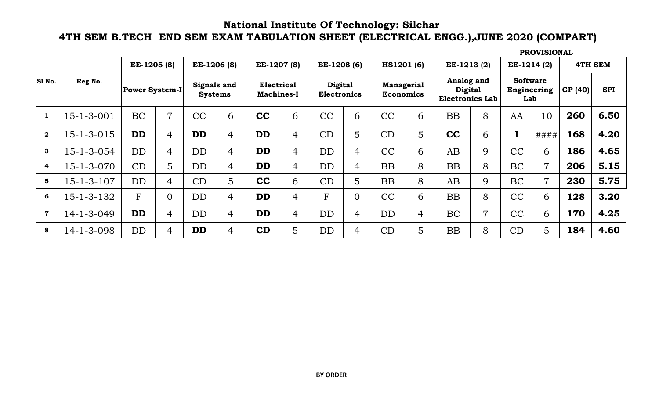#### **National Institute Of Technology: Silchar 4TH SEM B.TECH END SEM EXAM TABULATION SHEET (ELECTRICAL ENGG.),JUNE 2020 (COMPART)**

|                         | Reg No.            |                       | EE-1205 (8)    |                               | EE-1206 (8)    |                                        | EE-1207 (8)    | EE-1208 (6)                          |                | <b>HS1201 (6)</b>              |   | EE-1213(2)                                             |                | EE-1214 (2)                           |                |         | <b>4TH SEM</b> |
|-------------------------|--------------------|-----------------------|----------------|-------------------------------|----------------|----------------------------------------|----------------|--------------------------------------|----------------|--------------------------------|---|--------------------------------------------------------|----------------|---------------------------------------|----------------|---------|----------------|
| SI No.                  |                    | <b>Power System-I</b> |                | Signals and<br><b>Systems</b> |                | <b>Electrical</b><br><b>Machines-I</b> |                | <b>Digital</b><br><b>Electronics</b> |                | Managerial<br><b>Economics</b> |   | Analog and<br><b>Digital</b><br><b>Electronics Lab</b> |                | <b>Software</b><br>Engineering<br>Lab |                | GP (40) | <b>SPI</b>     |
|                         | $15 - 1 - 3 - 001$ | <b>BC</b>             | 7              | CC                            | 6              | cc                                     | 6              | CC                                   | 6              | CC                             | 6 | <b>BB</b>                                              | 8              | AA                                    | 10             | 260     | 6.50           |
| $\mathbf{2}$            | $15 - 1 - 3 - 015$ | <b>DD</b>             | $\overline{4}$ | <b>DD</b>                     | $\overline{4}$ | <b>DD</b>                              | $\overline{4}$ | CD                                   | 5              | CD                             | 5 | cc                                                     | 6              | $\mathbf I$                           | ####           | 168     | 4.20           |
| 3                       | $15 - 1 - 3 - 054$ | <b>DD</b>             | $\overline{4}$ | DD                            | $\overline{4}$ | <b>DD</b>                              | $\overline{4}$ | <b>DD</b>                            | 4              | CC                             | 6 | AB                                                     | 9              | CC                                    | 6              | 186     | 4.65           |
| 4                       | $15 - 1 - 3 - 070$ | CD                    | 5              | <b>DD</b>                     | 4              | <b>DD</b>                              | 4              | DD                                   | 4              | BB                             | 8 | BB                                                     | 8              | <b>BC</b>                             | $\overline{7}$ | 206     | 5.15           |
| 5                       | $15 - 1 - 3 - 107$ | DD                    | 4              | CD                            | 5              | cc                                     | 6              | CD                                   | 5              | BB                             | 8 | AB                                                     | 9              | <b>BC</b>                             | $\overline{7}$ | 230     | 5.75           |
| 6                       | $15 - 1 - 3 - 132$ | F                     | 0              | <b>DD</b>                     | 4              | <b>DD</b>                              | $\overline{4}$ | $\mathbf{F}$                         | $\overline{0}$ | CC                             | 6 | <b>BB</b>                                              | 8              | CC                                    | 6              | 128     | 3.20           |
| $\overline{\mathbf{7}}$ | 14-1-3-049         | <b>DD</b>             | 4              | DD                            | $\overline{4}$ | <b>DD</b>                              | 4              | <b>DD</b>                            | $\overline{4}$ | <b>DD</b>                      | 4 | <b>BC</b>                                              | $\overline{7}$ | CC                                    | 6              | 170     | 4.25           |
| 8                       | $14 - 1 - 3 - 098$ | DD                    | 4              | <b>DD</b>                     | $\overline{4}$ | CD                                     | 5              | <b>DD</b>                            | 4              | CD                             | 5 | <b>BB</b>                                              | 8              | CD                                    | 5 <sup>1</sup> | 184     | 4.60           |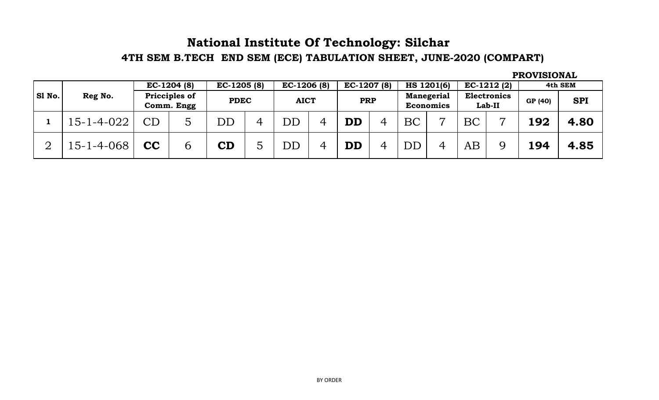## **4TH SEM B.TECH END SEM (ECE) TABULATION SHEET, JUNE-2020 (COMPART) National Institute Of Technology: Silchar**

|        |                    | $EC-1204(8)$<br>Pricciples of<br>Comm. Engg |   | $EC-1205(8)$<br><b>PDEC</b> |   | $EC-1206(8)$<br><b>AICT</b> |   | $EC-1207(8)$           |   |                                       | HS 1201(6)            | $EC-1212(2)$                 |                | 4th SEM |            |
|--------|--------------------|---------------------------------------------|---|-----------------------------|---|-----------------------------|---|------------------------|---|---------------------------------------|-----------------------|------------------------------|----------------|---------|------------|
| S1 No. | Reg No.            |                                             |   |                             |   |                             |   | <b>PRP</b>             |   | <b>Manegerial</b><br><b>Economics</b> |                       | <b>Electronics</b><br>Lab-II |                | GP (40) | <b>SPI</b> |
|        | $15 - 1 - 4 - 022$ | $\mathop{\rm CD}$                           | 5 | $\overline{\mathrm{DD}}$    | 4 | ${\rm DD}$                  | 4 | $\mathbf{D}\mathbf{D}$ | 4 | <b>BC</b>                             | $\overline{ }$        | <b>BC</b>                    | $\overline{ }$ | 192     | 4.80       |
| ∍      | 15-1-4-068         | $\mathbf{CC}$                               | 6 | $\mathbf C\mathbf D$        |   | DD                          | 4 | $\mathbf{D}\mathbf{D}$ | 4 | DD                                    | $\boldsymbol{\Delta}$ | AB                           | $\mathbf Q$    | 194     | 4.85       |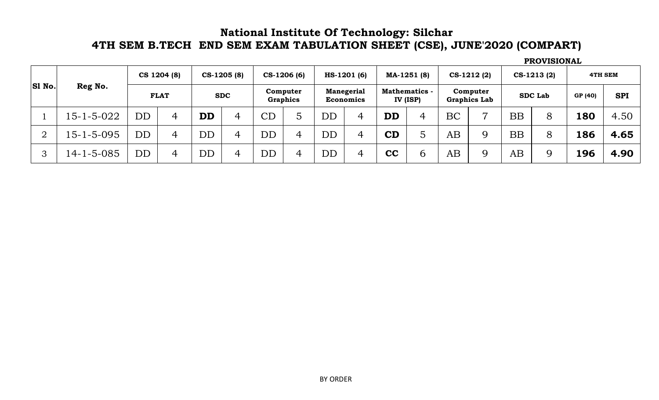#### **National Institute Of Technology: Silchar 4TH SEM B.TECH END SEM EXAM TABULATION SHEET (CSE), JUNE'2020 (COMPART)**

**GP (40) SPI** 1 15-1-5-022 DD 4 **DD** 4 CD 5 DD 4 **DD** 4 BC 7 BB 8 **180** 4.50 2 15-1-5-095 DD 4 DD 4 DD 4 DD 4 **CD** 5 AB 9 BB 8 **186 4.65** 3 14-1-5-085 DD 4 DD 4 DD 4 DD 4 **CC** 6 AB 9 AB 9 **196 4.90 SDC Lab 4TH SEM FLAT SDC Computer Graphics Manegerial Economics Mathematics - IV (ISP) Computer Graphics Lab PROVISIONAL CS-1213 (2) Sl No. Reg No. CS 1204 (8) CS-1205 (8) CS-1206 (6) HS-1201 (6) MA-1251 (8) CS-1212 (2)**